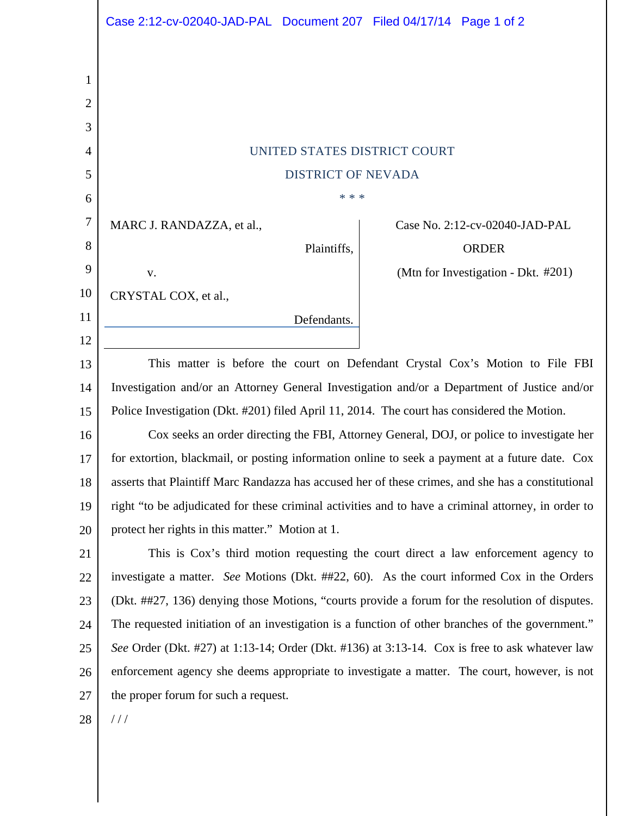|                | Case 2:12-cv-02040-JAD-PAL Document 207 Filed 04/17/14 Page 1 of 2                                                                     |                                     |  |
|----------------|----------------------------------------------------------------------------------------------------------------------------------------|-------------------------------------|--|
|                |                                                                                                                                        |                                     |  |
| 1              |                                                                                                                                        |                                     |  |
| $\overline{2}$ |                                                                                                                                        |                                     |  |
| 3              |                                                                                                                                        |                                     |  |
| 4              | UNITED STATES DISTRICT COURT                                                                                                           |                                     |  |
| 5              | <b>DISTRICT OF NEVADA</b>                                                                                                              |                                     |  |
| 6              | * * *                                                                                                                                  |                                     |  |
| 7              | MARC J. RANDAZZA, et al.,                                                                                                              | Case No. 2:12-cv-02040-JAD-PAL      |  |
| 8              | Plaintiffs,                                                                                                                            | <b>ORDER</b>                        |  |
| 9              | V.                                                                                                                                     | (Mtn for Investigation - Dkt. #201) |  |
| 10             | CRYSTAL COX, et al.,                                                                                                                   |                                     |  |
| 11             | Defendants.                                                                                                                            |                                     |  |
| 12             |                                                                                                                                        |                                     |  |
| 13             | This matter is before the court on Defendant Crystal Cox's Motion to File FBI                                                          |                                     |  |
| 14             | Investigation and/or an Attorney General Investigation and/or a Department of Justice and/or                                           |                                     |  |
| 15             | Police Investigation (Dkt. #201) filed April 11, 2014. The court has considered the Motion.                                            |                                     |  |
| 16             | Cox seeks an order directing the FBI, Attorney General, DOJ, or police to investigate her                                              |                                     |  |
| 17             | for extortion, blackmail, or posting information online to seek a payment at a future date. Cox                                        |                                     |  |
| 18             | asserts that Plaintiff Marc Randazza has accused her of these crimes, and she has a constitutional                                     |                                     |  |
| 19             | right "to be adjudicated for these criminal activities and to have a criminal attorney, in order to                                    |                                     |  |
| 20<br>21       | protect her rights in this matter." Motion at 1.<br>This is Cox's third motion requesting the court direct a law enforcement agency to |                                     |  |
| 22             | investigate a matter. See Motions (Dkt. ##22, 60). As the court informed Cox in the Orders                                             |                                     |  |
| 23             | (Dkt. ##27, 136) denying those Motions, "courts provide a forum for the resolution of disputes.                                        |                                     |  |
| 24             | The requested initiation of an investigation is a function of other branches of the government."                                       |                                     |  |
| 25             | See Order (Dkt. #27) at 1:13-14; Order (Dkt. #136) at 3:13-14. Cox is free to ask whatever law                                         |                                     |  |
| 26             | enforcement agency she deems appropriate to investigate a matter. The court, however, is not                                           |                                     |  |
| 27             | the proper forum for such a request.                                                                                                   |                                     |  |
| 28             | //                                                                                                                                     |                                     |  |
|                |                                                                                                                                        |                                     |  |